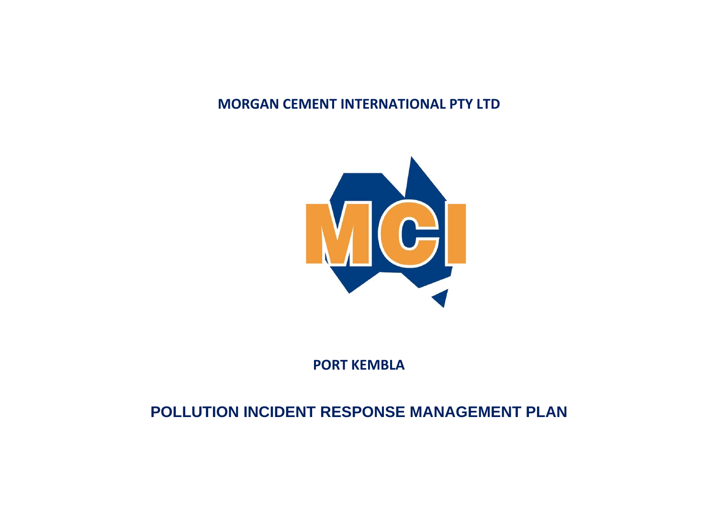### **MORGAN CEMENT INTERNATIONAL PTY LTD**



**PORT KEMBLA**

# **POLLUTION INCIDENT RESPONSE MANAGEMENT PLAN**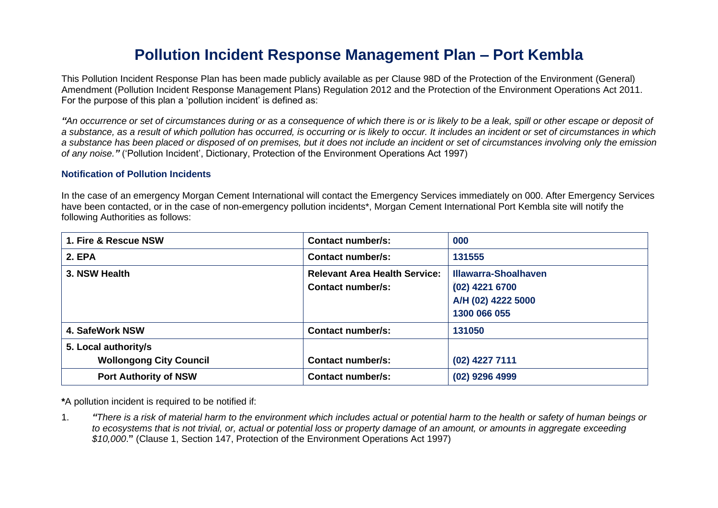## **Pollution Incident Response Management Plan – Port Kembla**

This Pollution Incident Response Plan has been made publicly available as per Clause 98D of the Protection of the Environment (General) Amendment (Pollution Incident Response Management Plans) Regulation 2012 and the Protection of the Environment Operations Act 2011. For the purpose of this plan a 'pollution incident' is defined as:

<sup>"</sup>*An occurrence or set of circumstances during or as a consequence of which there is or is likely to be a leak, spill or other escape or deposit of a substance, as a result of which pollution has occurred, is occurring or is likely to occur. It includes an incident or set of circumstances in which a substance has been placed or disposed of on premises, but it does not include an incident or set of circumstances involving only the emission of any noise."* ('Pollution Incident', Dictionary, Protection of the Environment Operations Act 1997)

#### **Notification of Pollution Incidents**

In the case of an emergency Morgan Cement International will contact the Emergency Services immediately on 000. After Emergency Services have been contacted, or in the case of non-emergency pollution incidents\*, Morgan Cement International Port Kembla site will notify the following Authorities as follows:

| 1. Fire & Rescue NSW                                   | Contact number/s:                                                | 000                                                                                 |
|--------------------------------------------------------|------------------------------------------------------------------|-------------------------------------------------------------------------------------|
| <b>2. EPA</b>                                          | <b>Contact number/s:</b>                                         | 131555                                                                              |
| 3. NSW Health                                          | <b>Relevant Area Health Service:</b><br><b>Contact number/s:</b> | <b>Illawarra-Shoalhaven</b><br>(02) 4221 6700<br>A/H (02) 4222 5000<br>1300 066 055 |
| 4. SafeWork NSW                                        | Contact number/s:                                                | 131050                                                                              |
| 5. Local authority/s<br><b>Wollongong City Council</b> | <b>Contact number/s:</b>                                         | (02) 4227 7111                                                                      |
| <b>Port Authority of NSW</b>                           | <b>Contact number/s:</b>                                         | (02) 9296 4999                                                                      |

**\***A pollution incident is required to be notified if:

1. *"There is a risk of material harm to the environment which includes actual or potential harm to the health or safety of human beings or to ecosystems that is not trivial, or, actual or potential loss or property damage of an amount, or amounts in aggregate exceeding \$10,000*.**"** (Clause 1, Section 147, Protection of the Environment Operations Act 1997)